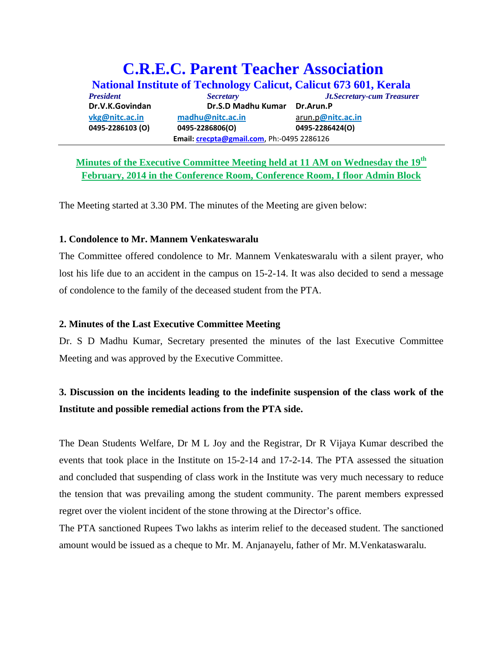# **C.R.E.C. Parent Teacher Association National Institute of Technology Calicut, Calicut 673 601, Kerala** *President Secretary Jt.Secretary-cum Treasure***r Dr.V.K.Govindan Dr.S.D Madhu Kumar Dr.Arun.P vkg@nitc.ac.in madhu@nitc.ac.in** arun.p**@nitc.ac.in 0495‐2286103 (O) 0495‐2286806(O) 0495‐2286424(O) Email: crecpta@gmail.com**, Ph:‐0495 2286126

## **Minutes of the Executive Committee Meeting held at 11 AM on Wednesday the 19th February, 2014 in the Conference Room, Conference Room, I floor Admin Block**

The Meeting started at 3.30 PM. The minutes of the Meeting are given below:

#### **1. Condolence to Mr. Mannem Venkateswaralu**

The Committee offered condolence to Mr. Mannem Venkateswaralu with a silent prayer, who lost his life due to an accident in the campus on 15-2-14. It was also decided to send a message of condolence to the family of the deceased student from the PTA.

### **2. Minutes of the Last Executive Committee Meeting**

Dr. S D Madhu Kumar, Secretary presented the minutes of the last Executive Committee Meeting and was approved by the Executive Committee.

# **3. Discussion on the incidents leading to the indefinite suspension of the class work of the Institute and possible remedial actions from the PTA side.**

The Dean Students Welfare, Dr M L Joy and the Registrar, Dr R Vijaya Kumar described the events that took place in the Institute on 15-2-14 and 17-2-14. The PTA assessed the situation and concluded that suspending of class work in the Institute was very much necessary to reduce the tension that was prevailing among the student community. The parent members expressed regret over the violent incident of the stone throwing at the Director's office.

The PTA sanctioned Rupees Two lakhs as interim relief to the deceased student. The sanctioned amount would be issued as a cheque to Mr. M. Anjanayelu, father of Mr. M.Venkataswaralu.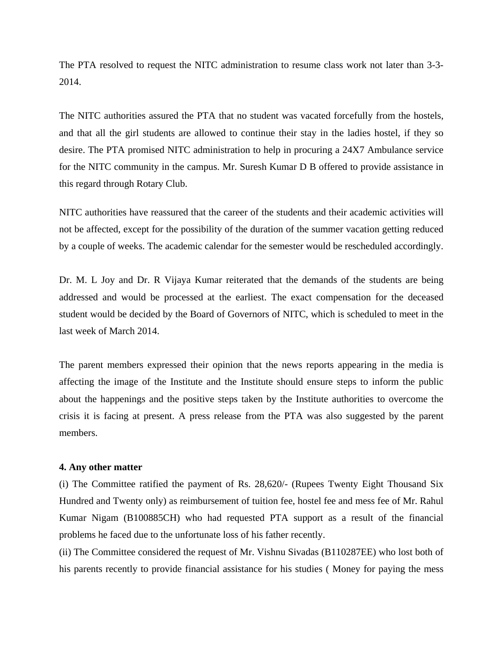The PTA resolved to request the NITC administration to resume class work not later than 3-3- 2014.

The NITC authorities assured the PTA that no student was vacated forcefully from the hostels, and that all the girl students are allowed to continue their stay in the ladies hostel, if they so desire. The PTA promised NITC administration to help in procuring a 24X7 Ambulance service for the NITC community in the campus. Mr. Suresh Kumar D B offered to provide assistance in this regard through Rotary Club.

NITC authorities have reassured that the career of the students and their academic activities will not be affected, except for the possibility of the duration of the summer vacation getting reduced by a couple of weeks. The academic calendar for the semester would be rescheduled accordingly.

Dr. M. L Joy and Dr. R Vijaya Kumar reiterated that the demands of the students are being addressed and would be processed at the earliest. The exact compensation for the deceased student would be decided by the Board of Governors of NITC, which is scheduled to meet in the last week of March 2014.

The parent members expressed their opinion that the news reports appearing in the media is affecting the image of the Institute and the Institute should ensure steps to inform the public about the happenings and the positive steps taken by the Institute authorities to overcome the crisis it is facing at present. A press release from the PTA was also suggested by the parent members.

#### **4. Any other matter**

(i) The Committee ratified the payment of Rs. 28,620/- (Rupees Twenty Eight Thousand Six Hundred and Twenty only) as reimbursement of tuition fee, hostel fee and mess fee of Mr. Rahul Kumar Nigam (B100885CH) who had requested PTA support as a result of the financial problems he faced due to the unfortunate loss of his father recently.

(ii) The Committee considered the request of Mr. Vishnu Sivadas (B110287EE) who lost both of his parents recently to provide financial assistance for his studies ( Money for paying the mess